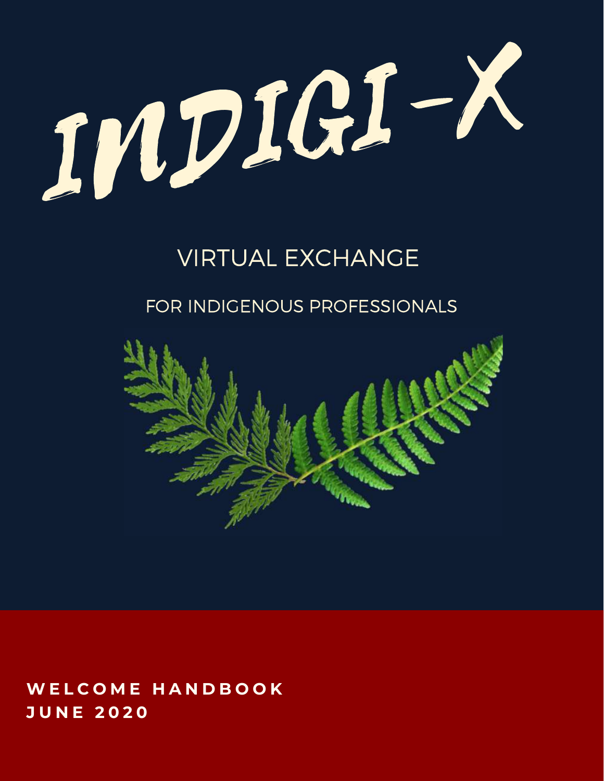

### VIRTUAL EXCHANGE

#### FOR INDIGENOUS PROFESSIONALS



#### **W E L C O M E H A N D B O O K J U N E 2 0 2 0**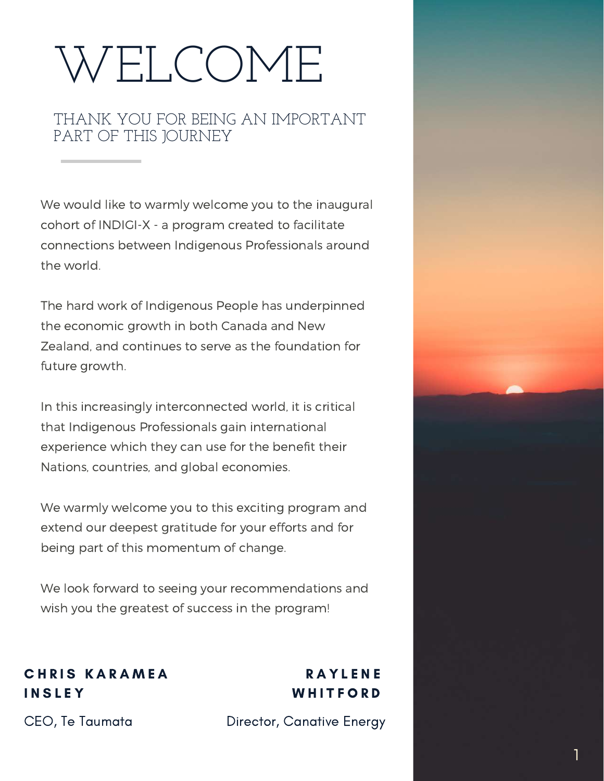# WELCOME

#### THANK YOU FOR BEING AN IMPORTANT PART OF THIS JOURNEY

We would like to warmly welcome you to the inaugural cohort of INDIGI-X - a program created to facilitate connections between Indigenous Professionals around the world.

The hard work of Indigenous People has underpinned the economic growth in both Canada and New Zealand, and continues to serve as the foundation for future growth.

In this increasingly interconnected world, it is critical that Indigenous Professionals gain international experience which they can use for the benefit their Nations, countries, and global economies.

We warmly welcome you to this exciting program and extend our deepest gratitude for your efforts and for being part of this momentum of change.

We look forward to seeing your recommendations and wish you the greatest of success in the program!

#### **CHRIS KARAMEA INSLEY**

CEO, Te Taumata

#### **RAYLENE WHITFORD**

Director, Canative Energy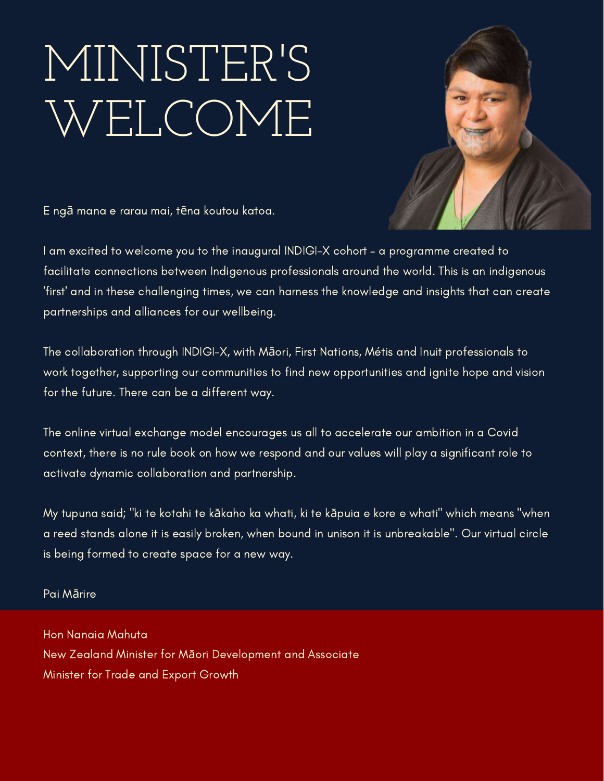## MINISTER'S WELCOME



E ngā mana e rarau mai, tēna koutou katoa.

I am excited to welcome you to the inaugural INDIGI-X cohort – a programme created to facilitate connections between Indigenous professionals around the world. This is an indigenous 'first' and in these challenging times, we can harness the knowledge and insights that can create partnerships and alliances for our wellbeing.

The collaboration through INDIGI-X, with Māori, First Nations, Métis and Inuit professionals to work together, supporting our communities to find new opportunities and ignite hope and vision for the future. There can be a different way.

The online virtual exchange model encourages us all to accelerate our ambition in a Covid context, there is no rule book on how we respond and our values will play a significant role to activate dynamic collaboration and partnership.

My tupuna said; "ki te kotahi te kākaho ka whati, ki te kāpuia e kore e whati" which means "when a reed stands alone it is easily broken, when bound in unison it is unbreakable". Our virtual circle is being formed to create space for a new way.

Pai Mārire

Hon Nanaia Mahuta New Zealand Minister for Māori Development and Associate Minister for Trade and Export Growth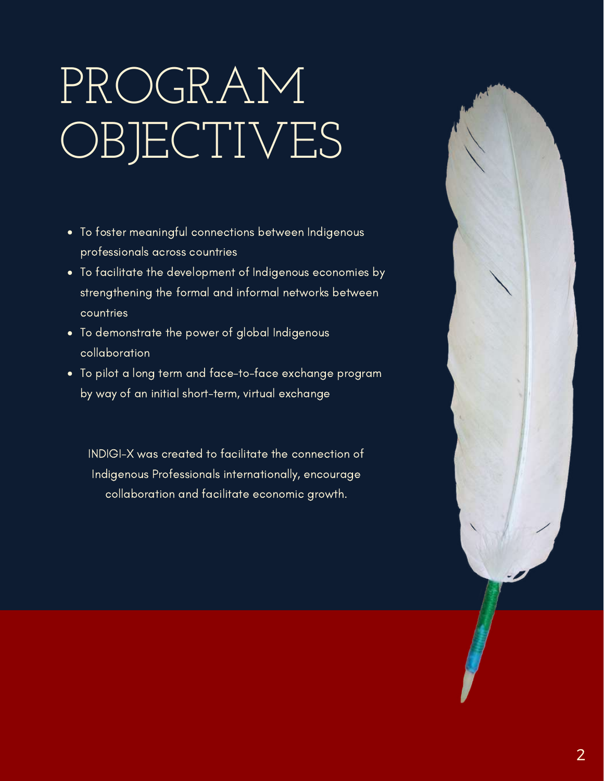# PROGRAM OBJECTIVES

- To foster meaningful connections between Indigenous professionals across countries
- To facilitate the development of Indigenous economies by strengthening the formal and informal networks between countries
- To demonstrate the power of global Indigenous collaboration
- To pilot a long term and face-to-face exchange program by way of an initial short-term, virtual exchange

INDIGI-X was created to facilitate the connection of Indigenous Professionals internationally, encourage collaboration and facilitate economic growth.

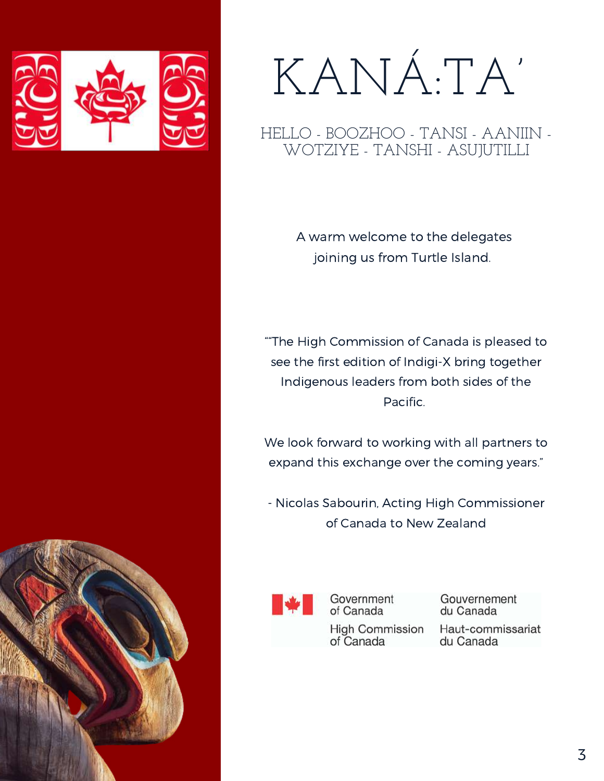

# KANÁ:TA'

HELLO - BOOZHOO - TANSI - AANIIN - WOTZIYE - TANSHI - ASUJUTILLI

> A warm welcome to the delegates joining us from Turtle Island.

""The High Commission of Canada is pleased to see the first edition of Indigi-X bring together Indigenous leaders from both sides of the Pacific.

We look forward to working with all partners to expand this exchange over the coming years."

- Nicolas Sabourin, Acting High Commissioner of Canada to New Zealand



Government of Canada

Gouvernement du Canada

**High Commission** of Canada

Haut-commissariat du Canada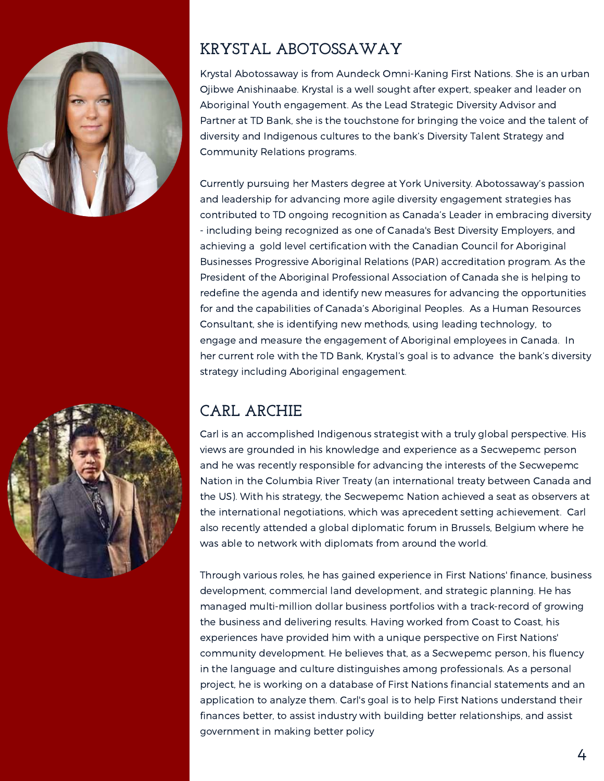



#### **KRYSTAL ABOTOSSAWAY**

Krystal Abotossaway is from Aundeck Omni-Kaning First Nations. She is an urban Ojibwe Anishinaabe. Krystal is a well sought after expert, speaker and leader on Aboriginal Youth engagement. As the Lead Strategic Diversity Advisor and Partner at TD Bank, she is the touchstone for bringing the voice and the talent of diversity and Indigenous cultures to the bank's Diversity Talent Strategy and Community Relations programs.

Currently pursuing her Masters degree at York University. Abotossaway's passion and leadership for advancing more agile diversity engagement strategies has contributed to TD ongoing recognition as Canada's Leader in embracing diversity - including being recognized as one of Canada's Best Diversity Employers, and achieving a gold level certification with the Canadian Council for Aboriginal Businesses Progressive Aboriginal Relations (PAR) accreditation program. As the President of the Aboriginal Professional Association of Canada she is helping to redefine the agenda and identify new measures for advancing the opportunities for and the capabilities of Canada's Aboriginal Peoples. As a Human Resources Consultant, she is identifying new methods, using leading technology, to engage and measure the engagement of Aboriginal employees in Canada. In her current role with the TD Bank, Krystal's goal is to advance the bank's diversity strategy including Aboriginal engagement.

#### **CARL ARCHIE**

Carl is an accomplished Indigenous strategist with a truly global perspective. His views are grounded in his knowledge and experience as a Secwepemc person and he was recently responsible for advancing the interests of the Secwepemc Nation in the Columbia River Treaty (an international treaty between Canada and the US). With his strategy, the Secwepemc Nation achieved a seat as observers at the international negotiations, which was aprecedent setting achievement. Carl also recently attended a global diplomatic forum in Brussels, Belgium where he was able to network with diplomats from around the world.

Through various roles, he has gained experience in First Nations' finance, business development, commercial land development, and strategic planning. He has managed multi-million dollar business portfolios with a track-record of growing the business and delivering results. Having worked from Coast to Coast, his experiences have provided him with a unique perspective on First Nations' community development. He believes that, as a Secwepemc person, his fluency in the language and culture distinguishes among professionals. As a personal project, he is working on a database of First Nations financial statements and an application to analyze them. Carl's goal is to help First Nations understand their finances better, to assist industry with building better relationships, and assist government in making better policy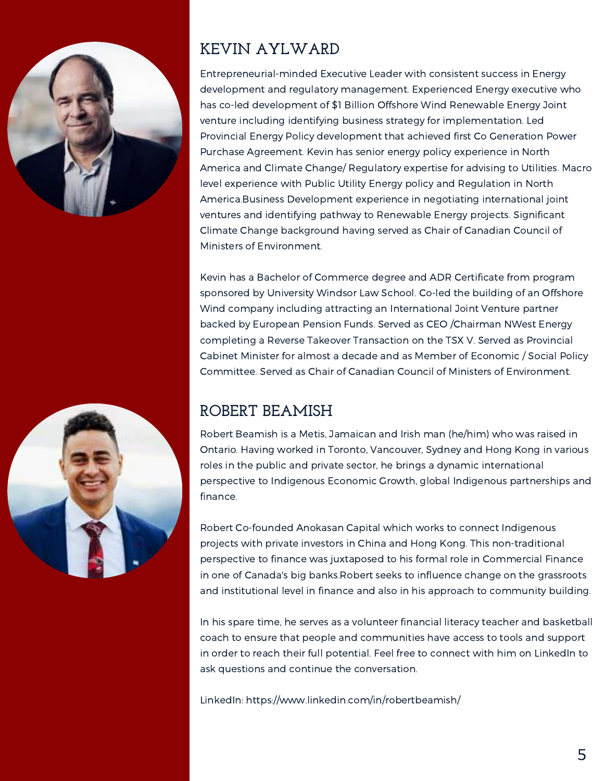



#### **KEVIN AYLWARD**

Entrepreneurial-minded Executive Leader with consistent success in Energy development and regulatory management. Experienced Energy executive who has co-led development of \$1 Billion Offshore Wind Renewable Energy Joint venture including identifying business strategy for implementation. Led Provincial Energy Policy development that achieved first Co Generation Power Purchase Agreement. Kevin has senior energy policy experience in North America and Climate Change/ Regulatory expertise for advising to Utilities. Macro level experience with Public Utility Energy policy and Regulation in North America.Business Development experience in negotiating international joint ventures and identifying pathway to Renewable Energy projects. Significant Climate Change background having served as Chair of Canadian Council of Ministers of Environment.

Kevin has a Bachelor of Commerce degree and ADR Certificate from program sponsored by University Windsor Law School. Co-led the building of an Offshore Wind company including attracting an International Joint Venture partner backed by European Pension Funds. Served as CEO /Chairman NWest Energy completing a Reverse Takeover Transaction on the TSX V. Served as Provincial Cabinet Minister for almost a decade and as Member of Economic / Social Policy Committee. Served as Chair of Canadian Council of Ministers of Environment.

#### **ROBERT BEAMISH**

Robert Beamish is a Metis, Jamaican and Irish man (he/him) who was raised in Ontario. Having worked in Toronto, Vancouver, Sydney and Hong Kong in various roles in the public and private sector, he brings a dynamic international perspective to Indigenous Economic Growth, global Indigenous partnerships and finance.

Robert Co-founded Anokasan Capital which works to connect Indigenous projects with private investors in China and Hong Kong. This non-traditional perspective to finance was juxtaposed to his formal role in Commercial Finance in one of Canada's big banks.Robert seeks to influence change on the grassroots and institutional level in finance and also in his approach to community building.

In his spare time, he serves as a volunteer financial literacy teacher and basketball coach to ensure that people and communities have access to tools and support in order to reach their full potential. Feel free to connect with him on LinkedIn to ask questions and continue the conversation.

LinkedIn: https://www.linkedin.com/in/robertbeamish/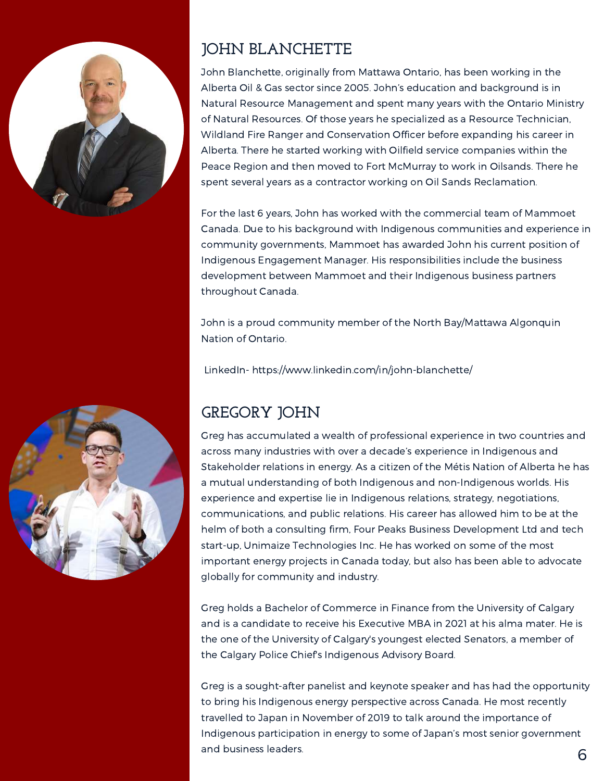



#### **JOHN BLANCHETTE**

John Blanchette, originally from Mattawa Ontario, has been working in the Alberta Oil & Gas sector since 2005. John's education and background is in Natural Resource Management and spent many years with the Ontario Ministry of Natural Resources. Of those years he specialized as a Resource Technician, Wildland Fire Ranger and Conservation Officer before expanding his career in Alberta. There he started working with Oilfield service companies within the Peace Region and then moved to Fort McMurray to work in Oilsands. There he spent several years as a contractor working on Oil Sands Reclamation.

For the last 6 years, John has worked with the commercial team of Mammoet Canada. Due to his background with Indigenous communities and experience in community governments, Mammoet has awarded John his current position of Indigenous Engagement Manager. His responsibilities include the business development between Mammoet and their Indigenous business partners throughout Canada.

John is a proud community member of the North Bay/Mattawa Algonquin Nation of Ontario.

LinkedIn- https://www.linkedin.com/in/john-blanchette/

#### **GREGORY JOHN**

Greg has accumulated a wealth of professional experience in two countries and across many industries with over a decade's experience in Indigenous and Stakeholder relations in energy. As a citizen of the Métis Nation of Alberta he has a mutual understanding of both Indigenous and non-Indigenous worlds. His experience and expertise lie in Indigenous relations, strategy, negotiations, communications, and public relations. His career has allowed him to be at the helm of both a consulting firm, Four Peaks Business Development Ltd and tech start-up, Unimaize Technologies Inc. He has worked on some of the most important energy projects in Canada today, but also has been able to advocate globally for community and industry.

Greg holds a Bachelor of Commerce in Finance from the University of Calgary and is a candidate to receive his Executive MBA in 2021 at his alma mater. He is the one of the University of Calgary's youngest elected Senators, a member of the Calgary Police Chief's Indigenous Advisory Board.

Greg is a sought-after panelist and keynote speaker and has had the opportunity to bring his Indigenous energy perspective across Canada. He most recently travelled to Japan in November of 2019 to talk around the importance of Indigenous participation in energy to some of Japan's most senior government and business leaders.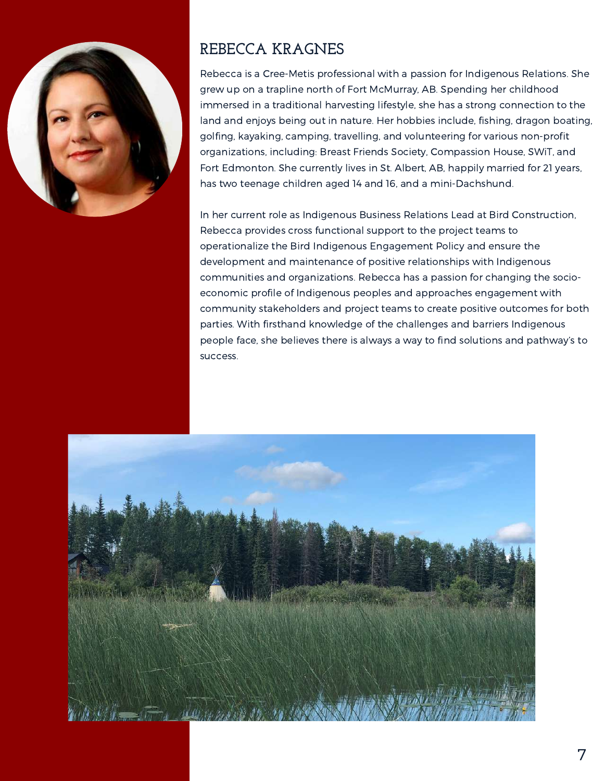

#### **REBECCA KRAGNES**

Rebecca is a Cree-Metis professional with a passion for Indigenous Relations. She grew up on a trapline north of Fort McMurray, AB. Spending her childhood immersed in a traditional harvesting lifestyle, she has a strong connection to the land and enjoys being out in nature. Her hobbies include, fishing, dragon boating, golfing, kayaking, camping, travelling, and volunteering for various non-profit organizations, including: Breast Friends Society, Compassion House, SWiT, and Fort Edmonton. She currently lives in St. Albert, AB, happily married for 21 years, has two teenage children aged 14 and 16, and a mini-Dachshund.

In her current role as Indigenous Business Relations Lead at Bird Construction, Rebecca provides cross functional support to the project teams to operationalize the Bird Indigenous Engagement Policy and ensure the development and maintenance of positive relationships with Indigenous communities and organizations. Rebecca has a passion for changing the socioeconomic profile of Indigenous peoples and approaches engagement with community stakeholders and project teams to create positive outcomes for both parties. With firsthand knowledge of the challenges and barriers Indigenous people face, she believes there is always a way to find solutions and pathway's to success.

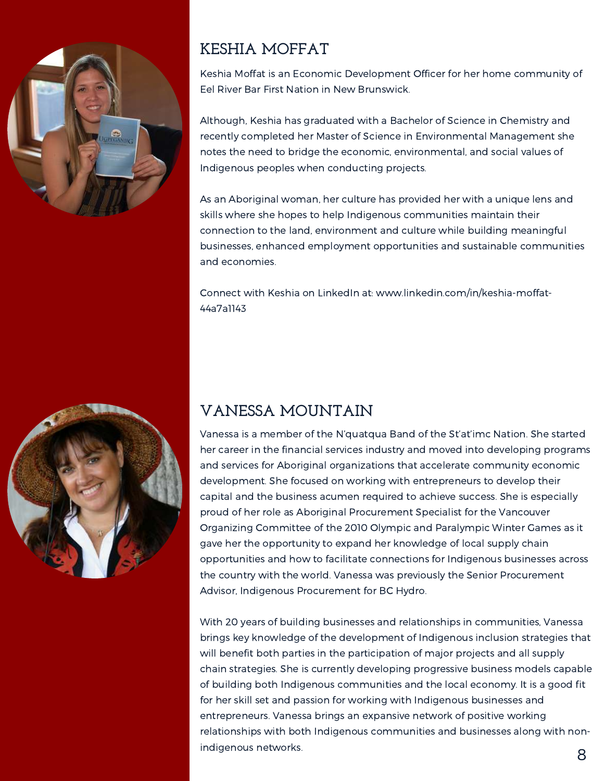



#### **KESHIA MOFFAT**

Keshia Moffat is an Economic Development Officer for her home community of Eel River Bar First Nation in New Brunswick.

Although, Keshia has graduated with a Bachelor of Science in Chemistry and recently completed her Master of Science in Environmental Management she notes the need to bridge the economic, environmental, and social values of Indigenous peoples when conducting projects.

As an Aboriginal woman, her culture has provided her with a unique lens and skills where she hopes to help Indigenous communities maintain their connection to the land, environment and culture while building meaningful businesses, enhanced employment opportunities and sustainable communities and economies.

Connect with Keshia on LinkedIn at: www.linkedin.com/in/keshia-moffat-44a7a1143

#### **VANESSA MOUNTAIN**

Vanessa is a member of the N'quatqua Band of the St'at'imc Nation. She started her career in the financial services industry and moved into developing programs and services for Aboriginal organizations that accelerate community economic development. She focused on working with entrepreneurs to develop their capital and the business acumen required to achieve success. She is especially proud of her role as Aboriginal Procurement Specialist for the Vancouver Organizing Committee of the 2010 Olympic and Paralympic Winter Games as it gave her the opportunity to expand her knowledge of local supply chain opportunities and how to facilitate connections for Indigenous businesses across the country with the world. Vanessa was previously the Senior Procurement Advisor, Indigenous Procurement for BC Hydro.

With 20 years of building businesses and relationships in communities, Vanessa brings key knowledge of the development of Indigenous inclusion strategies that will benefit both parties in the participation of major projects and all supply chain strategies. She is currently developing progressive business models capable of building both Indigenous communities and the local economy. It is a good fit for her skill set and passion for working with Indigenous businesses and entrepreneurs. Vanessa brings an expansive network of positive working relationships with both Indigenous communities and businesses along with nonindigenous networks.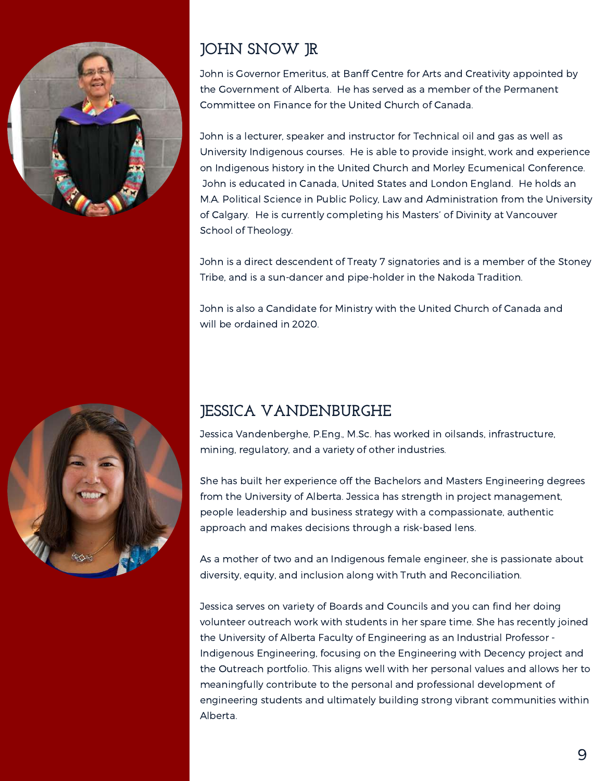



#### **JOHN SNOW JR**

John is Governor Emeritus, at Banff Centre for Arts and Creativity appointed by the Government of Alberta. He has served as a member of the Permanent Committee on Finance for the United Church of Canada.

John is a lecturer, speaker and instructor for Technical oil and gas as well as University Indigenous courses. He is able to provide insight, work and experience on Indigenous history in the United Church and Morley Ecumenical Conference. John is educated in Canada, United States and London England. He holds an M.A. Political Science in Public Policy, Law and Administration from the University of Calgary. He is currently completing his Masters' of Divinity at Vancouver School of Theology.

John is a direct descendent of Treaty 7 signatories and is a member of the Stoney Tribe, and is a sun-dancer and pipe-holder in the Nakoda Tradition.

John is also a Candidate for Ministry with the United Church of Canada and will be ordained in 2020.

#### **JESSICA VANDENBURGHE**

Jessica Vandenberghe, P.Eng., M.Sc. has worked in oilsands, infrastructure, mining, regulatory, and a variety of other industries.

She has built her experience off the Bachelors and Masters Engineering degrees from the University of Alberta. Jessica has strength in project management, people leadership and business strategy with a compassionate, authentic approach and makes decisions through a risk-based lens.

As a mother of two and an Indigenous female engineer, she is passionate about diversity, equity, and inclusion along with Truth and Reconciliation.

Jessica serves on variety of Boards and Councils and you can find her doing volunteer outreach work with students in her spare time. She has recently joined the University of Alberta Faculty of Engineering as an Industrial Professor - Indigenous Engineering, focusing on the Engineering with Decency project and the Outreach portfolio. This aligns well with her personal values and allows her to meaningfully contribute to the personal and professional development of engineering students and ultimately building strong vibrant communities within Alberta.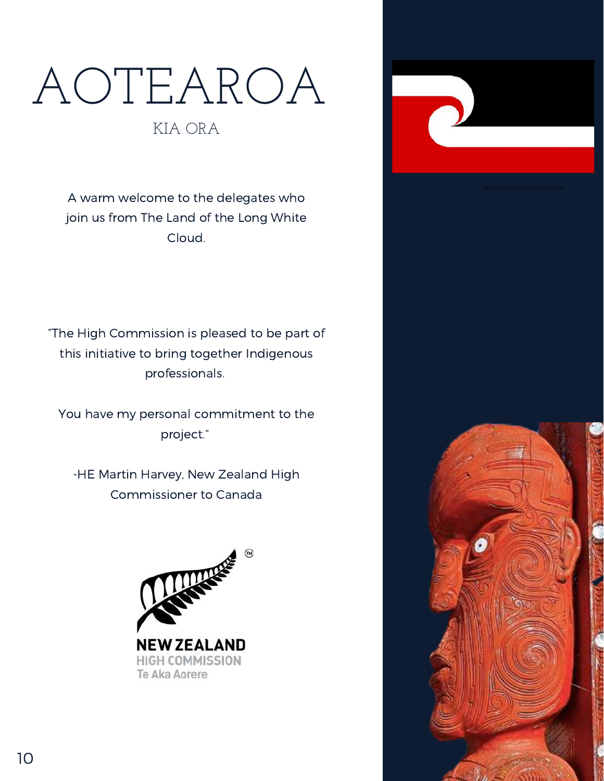# AOTEAROA

#### KIA ORA

A warm welcome to the delegates who join us from The Land of the Long White Cloud.

"The High Commission is pleased to be part of this initiative to bring together Indigenous professionals.

You have my personal commitment to the project."

-HE Martin Harvey, New Zealand High Commissioner to Canada



Te Aka Aorere

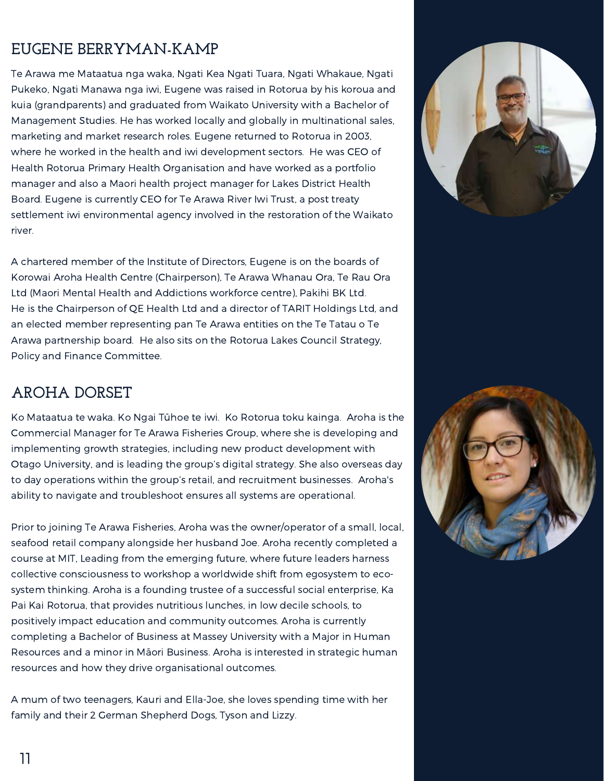#### **EUGENE BERRYMAN-KAMP**

Te Arawa me Mataatua nga waka, Ngati Kea Ngati Tuara, Ngati Whakaue, Ngati Pukeko, Ngati Manawa nga iwi, Eugene was raised in Rotorua by his koroua and kuia (grandparents) and graduated from Waikato University with a Bachelor of Management Studies. He has worked locally and globally in multinational sales, marketing and market research roles. Eugene returned to Rotorua in 2003, where he worked in the health and iwi development sectors. He was CEO of Health Rotorua Primary Health Organisation and have worked as a portfolio manager and also a Maori health project manager for Lakes District Health Board. Eugene is currently CEO for Te Arawa River Iwi Trust, a post treaty settlement iwi environmental agency involved in the restoration of the Waikato river.

A chartered member of the Institute of Directors, Eugene is on the boards of Korowai Aroha Health Centre (Chairperson), Te Arawa Whanau Ora, Te Rau Ora Ltd (Maori Mental Health and Addictions workforce centre), Pakihi BK Ltd. He is the Chairperson of QE Health Ltd and a director of TARIT Holdings Ltd, and an elected member representing pan Te Arawa entities on the Te Tatau o Te Arawa partnership board. He also sits on the Rotorua Lakes Council Strategy, Policy and Finance Committee.

#### **AROHA DORSET**

Ko Mataatua te waka. Ko Ngai Tūhoe te iwi. Ko Rotorua toku kainga. Aroha is the Commercial Manager for Te Arawa Fisheries Group, where she is developing and implementing growth strategies, including new product development with Otago University, and is leading the group's digital strategy. She also overseas day to day operations within the group's retail, and recruitment businesses. Aroha's ability to navigate and troubleshoot ensures all systems are operational.

Prior to joining Te Arawa Fisheries, Aroha was the owner/operator of a small, local, seafood retail company alongside her husband Joe. Aroha recently completed a course at MIT, Leading from the emerging future, where future leaders harness collective consciousness to workshop a worldwide shift from egosystem to ecosystem thinking. Aroha is a founding trustee of a successful social enterprise, Ka Pai Kai Rotorua, that provides nutritious lunches, in low decile schools, to positively impact education and community outcomes. Aroha is currently completing a Bachelor of Business at Massey University with a Major in Human Resources and a minor in Māori Business. Aroha is interested in strategic human resources and how they drive organisational outcomes.

A mum of two teenagers, Kauri and Ella-Joe, she loves spending time with her family and their 2 German Shepherd Dogs, Tyson and Lizzy.



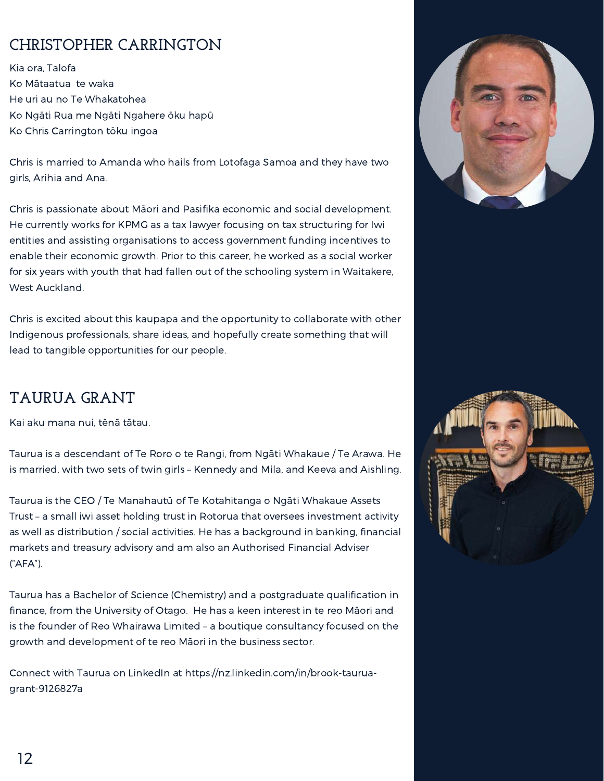#### **CHRISTOPHER CARRINGTON**

Kia ora, Talofa Ko Mātaatua te waka He uri au no Te Whakatohea Ko Ngāti Rua me Ngāti Ngahere ōku hapū Ko Chris Carrington tōku ingoa

Chris is married to Amanda who hails from Lotofaga Samoa and they have two girls, Arihia and Ana.

Chris is passionate about Māori and Pasifika economic and social development. He currently works for KPMG as a tax lawyer focusing on tax structuring for Iwi entities and assisting organisations to access government funding incentives to enable their economic growth. Prior to this career, he worked as a social worker for six years with youth that had fallen out of the schooling system in Waitakere, West Auckland.

Chris is excited about this kaupapa and the opportunity to collaborate with other Indigenous professionals, share ideas, and hopefully create something that will lead to tangible opportunities for our people.

#### **TAURUA GRANT**

Kai aku mana nui, tēnā tātau.

Taurua is a descendant of Te Roro o te Rangi, from Ngāti Whakaue / Te Arawa. He is married, with two sets of twin girls – Kennedy and Mila, and Keeva and Aishling.

Taurua is the CEO / Te Manahautū of Te Kotahitanga o Ngāti Whakaue Assets Trust – a small iwi asset holding trust in Rotorua that oversees investment activity as well as distribution / social activities. He has a background in banking, financial markets and treasury advisory and am also an Authorised Financial Adviser ("AFA").

Taurua has a Bachelor of Science (Chemistry) and a postgraduate qualification in finance, from the University of Otago. He has a keen interest in te reo Māori and is the founder of Reo Whairawa Limited – a boutique consultancy focused on the growth and development of te reo Māori in the business sector.

Connect with Taurua on LinkedIn at https://nz.linkedin.com/in/brook-tauruagrant-9126827a



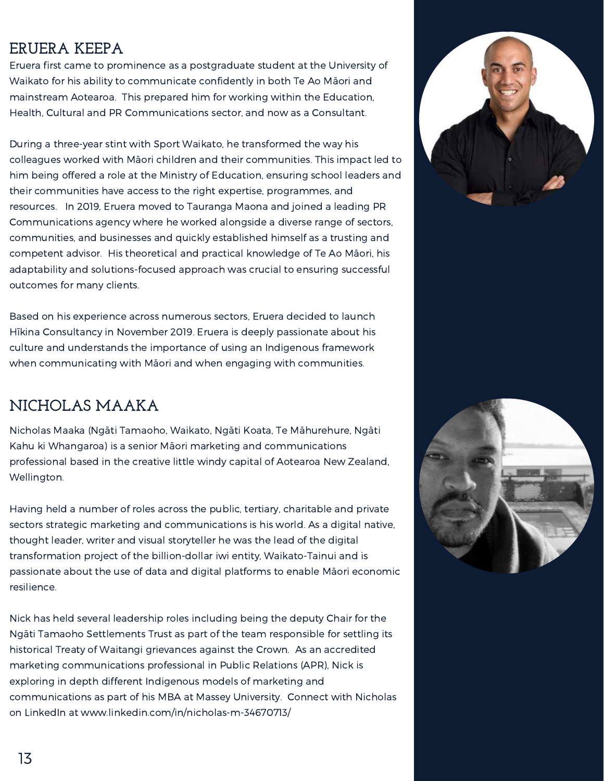#### **ERUERA KEEPA**

Eruera first came to prominence as a postgraduate student at the University of Waikato for his ability to communicate confidently in both Te Ao Māori and mainstream Aotearoa. This prepared him for working within the Education, Health, Cultural and PR Communications sector, and now as a Consultant.

During a three-year stint with Sport Waikato, he transformed the way his colleagues worked with Māori children and their communities. This impact led to him being offered a role at the Ministry of Education, ensuring school leaders and their communities have access to the right expertise, programmes, and resources. In 2019, Eruera moved to Tauranga Maona and joined a leading PR Communications agency where he worked alongside a diverse range of sectors, communities, and businesses and quickly established himself as a trusting and competent advisor. His theoretical and practical knowledge of Te Ao Māori, his adaptability and solutions-focused approach was crucial to ensuring successful outcomes for many clients.

Based on his experience across numerous sectors, Eruera decided to launch Hīkina Consultancy in November 2019. Eruera is deeply passionate about his culture and understands the importance of using an Indigenous framework when communicating with Māori and when engaging with communities.

#### **NICHOLAS MAAKA**

Nicholas Maaka (Ngāti Tamaoho, Waikato, Ngāti Koata, Te Māhurehure, Ngāti Kahu ki Whangaroa) is a senior Māori marketing and communications professional based in the creative little windy capital of Aotearoa New Zealand, Wellington.

Having held a number of roles across the public, tertiary, charitable and private sectors strategic marketing and communications is his world. As a digital native, thought leader, writer and visual storyteller he was the lead of the digital transformation project of the billion-dollar iwi entity, Waikato-Tainui and is passionate about the use of data and digital platforms to enable Māori economic resilience.

Nick has held several leadership roles including being the deputy Chair for the Ngāti Tamaoho Settlements Trust as part of the team responsible for settling its historical Treaty of Waitangi grievances against the Crown. As an accredited marketing communications professional in Public Relations (APR), Nick is exploring in depth different Indigenous models of marketing and communications as part of his MBA at Massey University. Connect with Nicholas on LinkedIn at www.linkedin.com/in/nicholas-m-34670713/



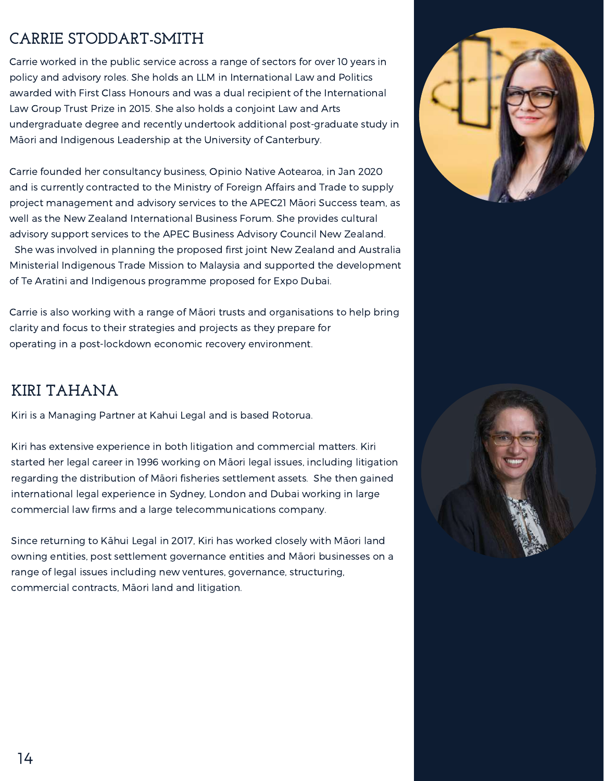#### **CARRIE STODDART-SMITH**

Carrie worked in the public service across a range of sectors for over 10 years in policy and advisory roles. She holds an LLM in International Law and Politics awarded with First Class Honours and was a dual recipient of the International Law Group Trust Prize in 2015. She also holds a conjoint Law and Arts undergraduate degree and recently undertook additional post-graduate study in Māori and Indigenous Leadership at the University of Canterbury.

Carrie founded her consultancy business, Opinio Native Aotearoa, in Jan 2020 and is currently contracted to the Ministry of Foreign Affairs and Trade to supply project management and advisory services to the APEC21 Māori Success team, as well as the New Zealand International Business Forum. She provides cultural advisory support services to the APEC Business Advisory Council New Zealand.

She was involved in planning the proposed first joint New Zealand and Australia Ministerial Indigenous Trade Mission to Malaysia and supported the development of Te Aratini and Indigenous programme proposed for Expo Dubai.

Carrie is also working with a range of Māori trusts and organisations to help bring clarity and focus to their strategies and projects as they prepare for operating in a post-lockdown economic recovery environment.

#### **KIRI TAHANA**

Kiri is a Managing Partner at Kahui Legal and is based Rotorua.

Kiri has extensive experience in both litigation and commercial matters. Kiri started her legal career in 1996 working on Māori legal issues, including litigation regarding the distribution of Māori fisheries settlement assets. She then gained international legal experience in Sydney, London and Dubai working in large commercial law firms and a large telecommunications company.

Since returning to Kāhui Legal in 2017, Kiri has worked closely with Māori land owning entities, post settlement governance entities and Māori businesses on a range of legal issues including new ventures, governance, structuring, commercial contracts, Māori land and litigation.



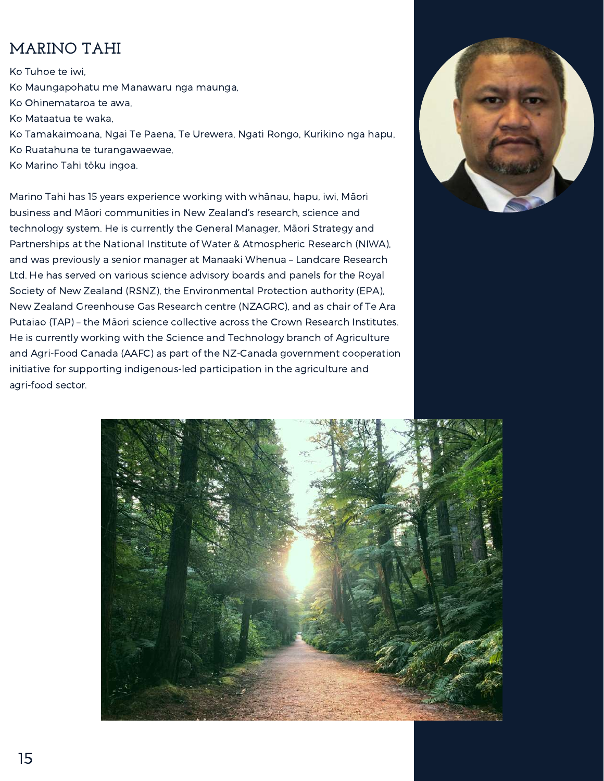#### **MARINO TAHI**

Ko Tuhoe te iwi, Ko Maungapohatu me Manawaru nga maunga, Ko Ohinemataroa te awa, Ko Mataatua te waka, Ko Tamakaimoana, Ngai Te Paena, Te Urewera, Ngati Rongo, Kurikino nga hapu, Ko Ruatahuna te turangawaewae, Ko Marino Tahi tōku ingoa.

Marino Tahi has 15 years experience working with whānau, hapu, iwi, Māori business and Māori communities in New Zealand's research, science and technology system. He is currently the General Manager, Māori Strategy and Partnerships at the National Institute of Water & Atmospheric Research (NIWA), and was previously a senior manager at Manaaki Whenua – Landcare Research Ltd. He has served on various science advisory boards and panels for the Royal Society of New Zealand (RSNZ), the Environmental Protection authority (EPA), New Zealand Greenhouse Gas Research centre (NZAGRC), and as chair of Te Ara Putaiao (TAP) – the Māori science collective across the Crown Research Institutes. He is currently working with the Science and Technology branch of Agriculture and Agri-Food Canada (AAFC) as part of the NZ-Canada government cooperation initiative for supporting indigenous-led participation in the agriculture and agri-food sector.



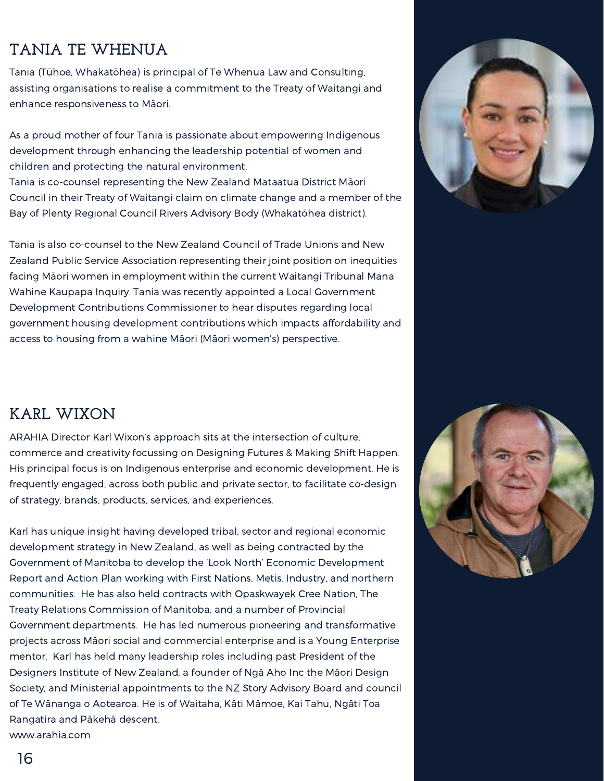#### **TANIA TE WHENUA**

Tania (Tūhoe, Whakatōhea) is principal of Te Whenua Law and Consulting, assisting organisations to realise a commitment to the Treaty of Waitangi and enhance responsiveness to Māori.

As a proud mother of four Tania is passionate about empowering Indigenous development through enhancing the leadership potential of women and children and protecting the natural environment.

Tania is co-counsel representing the New Zealand Mataatua District Māori Council in their Treaty of Waitangi claim on climate change and a member of the Bay of Plenty Regional Council Rivers Advisory Body (Whakatōhea district).

Tania is also co-counsel to the New Zealand Council of Trade Unions and New Zealand Public Service Association representing their joint position on inequities facing Māori women in employment within the current Waitangi Tribunal Mana Wahine Kaupapa Inquiry. Tania was recently appointed a Local Government Development Contributions Commissioner to hear disputes regarding local government housing development contributions which impacts affordability and access to housing from a wahine Māori (Māori women's) perspective.



#### **KARL WIXON**

ARAHIA Director Karl Wixon's approach sits at the intersection of culture, commerce and creativity focussing on Designing Futures & Making Shift Happen. His principal focus is on Indigenous enterprise and economic development. He is frequently engaged, across both public and private sector, to facilitate co-design of strategy, brands, products, services, and experiences.

Karl has unique insight having developed tribal, sector and regional economic development strategy in New Zealand, as well as being contracted by the Government of Manitoba to develop the 'Look North' Economic Development Report and Action Plan working with First Nations, Metis, Industry, and northern communities. He has also held contracts with Opaskwayek Cree Nation, The Treaty Relations Commission of Manitoba, and a number of Provincial Government departments. He has led numerous pioneering and transformative projects across Māori social and commercial enterprise and is a Young Enterprise mentor. Karl has held many leadership roles including past President of the Designers Institute of New Zealand, a founder of Ngā Aho Inc the Māori Design Society, and Ministerial appointments to the NZ Story Advisory Board and council of Te Wānanga o Aotearoa. He is of Waitaha, Kāti Māmoe, Kai Tahu, Ngāti Toa Rangatira and Pākehā descent. www.arahia.com

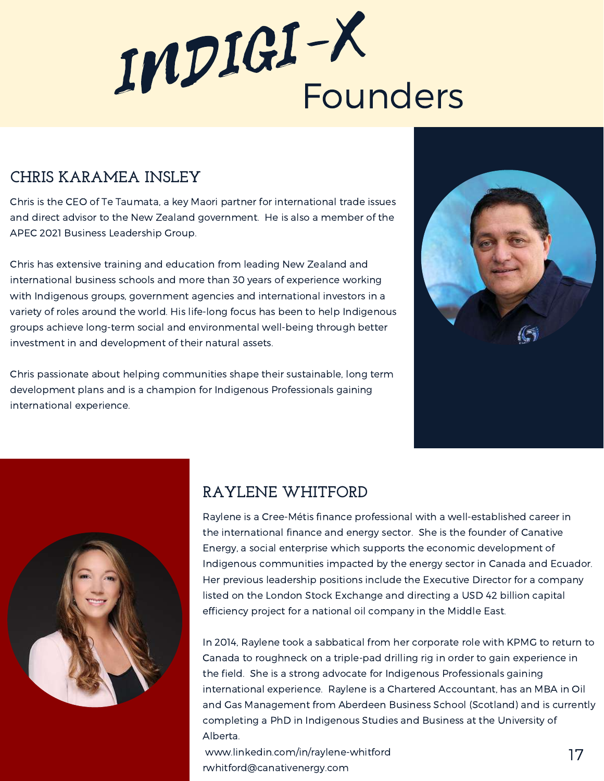

#### **CHRIS KARAMEA INSLEY**

Chris is the CEO of Te Taumata, a key Maori partner for international trade issues and direct advisor to the New Zealand government. He is also a member of the APEC 2021 Business Leadership Group.

Chris has extensive training and education from leading New Zealand and international business schools and more than 30 years of experience working with Indigenous groups, government agencies and international investors in a variety of roles around the world. His life-long focus has been to help Indigenous groups achieve long-term social and environmental well-being through better investment in and development of their natural assets.

Chris passionate about helping communities shape their sustainable, long term development plans and is a champion for Indigenous Professionals gaining international experience.





#### **RAYLENE WHITFORD**

Raylene is a Cree-Métis finance professional with a well-established career in the international finance and energy sector. She is the founder of Canative Energy, a social enterprise which supports the economic development of Indigenous communities impacted by the energy sector in Canada and Ecuador. Her previous leadership positions include the Executive Director for a company listed on the London Stock Exchange and directing a USD 42 billion capital efficiency project for a national oil company in the Middle East.

In 2014, Raylene took a sabbatical from her corporate role with KPMG to return to Canada to roughneck on a triple-pad drilling rig in order to gain experience in the field. She is a strong advocate for Indigenous Professionals gaining international experience. Raylene is a Chartered Accountant, has an MBA in Oil and Gas Management from Aberdeen Business School (Scotland) and is currently completing a PhD in Indigenous Studies and Business at the University of Alberta.

www.linkedin.com/in/raylene-whitford rwhitford@canativenergy.com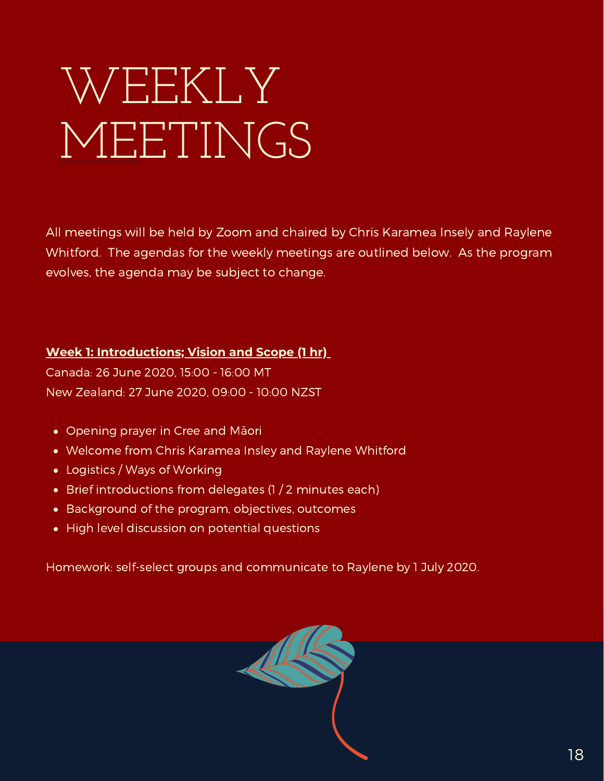# WEEKLY MEETINGS

All meetings will be held by Zoom and chaired by Chris Karamea Insely and Raylene Whitford. The agendas for the weekly meetings are outlined below. As the program evolves, the agenda may be subject to change.

#### **Week 1: Introductions; Vision and Scope (1 hr)**

Canada: 26 June 2020, 15:00 - 16:00 MT New Zealand: 27 June 2020, 09:00 - 10:00 NZST

- Opening prayer in Cree and Māori
- Welcome from Chris Karamea Insley and Raylene Whitford
- Logistics / Ways of Working
- Brief introductions from delegates (1 / 2 minutes each)
- Background of the program, objectives, outcomes
- High level discussion on potential questions

Homework: self-select groups and communicate to Raylene by 1 July 2020.

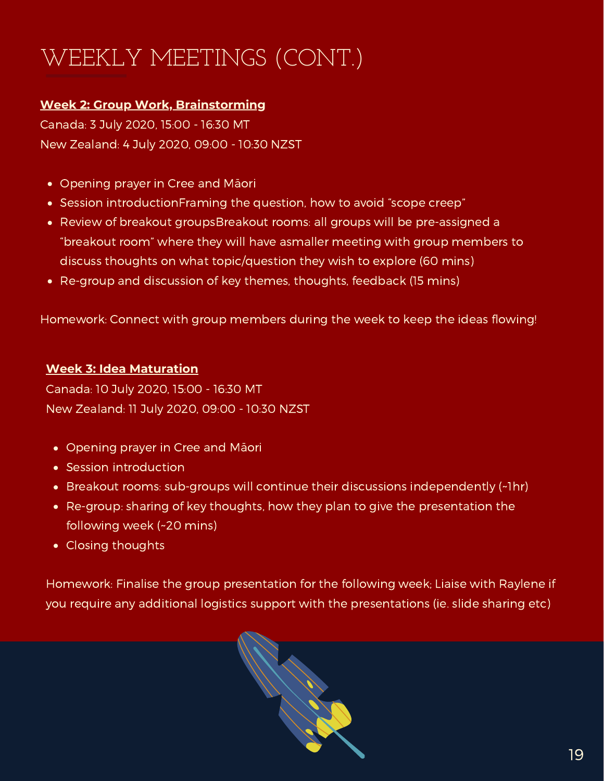## WEEKLY MEETINGS (CONT.)

#### **Week 2: Group Work, Brainstorming**

Canada: 3 July 2020, 15:00 - 16:30 MT New Zealand: 4 July 2020, 09:00 - 10:30 NZST

- Opening prayer in Cree and Māori
- Session introductionFraming the question, how to avoid "scope creep"
- Review of breakout groupsBreakout rooms: all groups will be pre-assigned a "breakout room" where they will have asmaller meeting with group members to discuss thoughts on what topic/question they wish to explore (60 mins)
- Re-group and discussion of key themes, thoughts, feedback (15 mins)

Homework: Connect with group members during the week to keep the ideas flowing!

#### **Week 3: Idea Maturation**

Canada: 10 July 2020, 15:00 - 16:30 MT New Zealand: 11 July 2020, 09:00 - 10:30 NZST

- Opening prayer in Cree and Māori
- **Session introduction**
- Breakout rooms: sub-groups will continue their discussions independently (~1hr)
- Re-group: sharing of key thoughts, how they plan to give the presentation the following week (~20 mins)
- Closing thoughts

Homework: Finalise the group presentation for the following week; Liaise with Raylene if you require any additional logistics support with the presentations (ie. slide sharing etc)

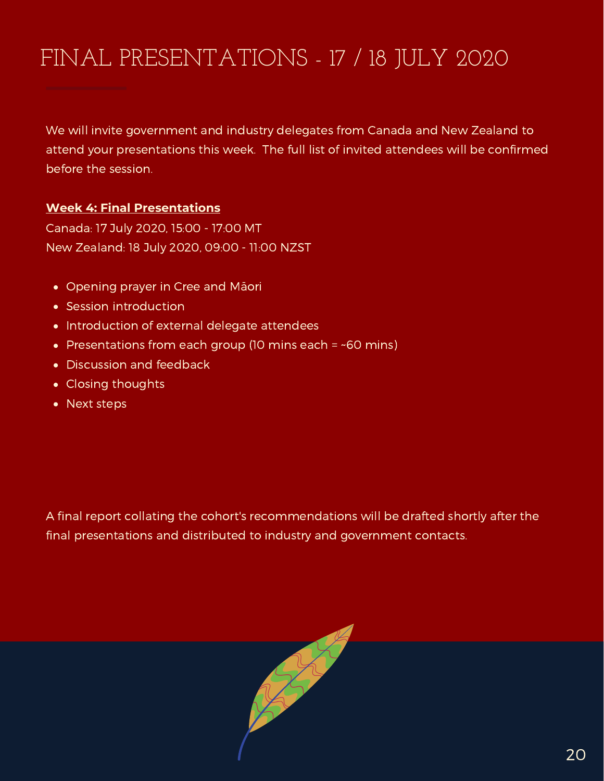### FINAL PRESENTATIONS - 17 / 18 JULY 2020

We will invite government and industry delegates from Canada and New Zealand to attend your presentations this week. The full list of invited attendees will be confirmed before the session.

#### **Week 4: Final Presentations**

Canada: 17 July 2020, 15:00 - 17:00 MT New Zealand: 18 July 2020, 09:00 - 11:00 NZST

- Opening prayer in Cree and Māori
- Session introduction
- Introduction of external delegate attendees
- Presentations from each group (10 mins each  $=$  ~60 mins)
- Discussion and feedback
- Closing thoughts
- Next steps

A final report collating the cohort's recommendations will be drafted shortly after the final presentations and distributed to industry and government contacts.